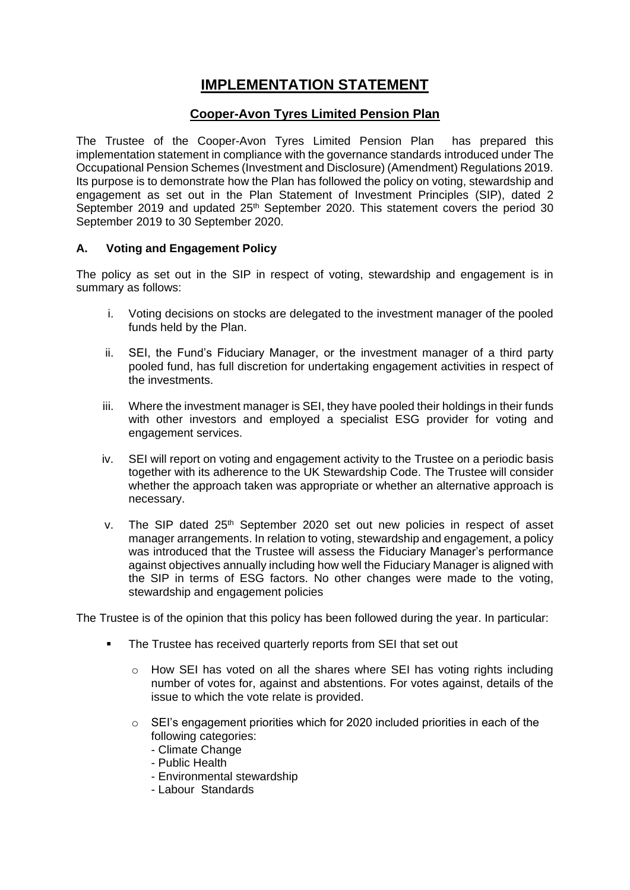# **IMPLEMENTATION STATEMENT**

# **Cooper-Avon Tyres Limited Pension Plan**

The Trustee of the Cooper-Avon Tyres Limited Pension Plan has prepared this implementation statement in compliance with the governance standards introduced under The Occupational Pension Schemes (Investment and Disclosure) (Amendment) Regulations 2019. Its purpose is to demonstrate how the Plan has followed the policy on voting, stewardship and engagement as set out in the Plan Statement of Investment Principles (SIP), dated 2 September 2019 and updated  $25<sup>th</sup>$  September 2020. This statement covers the period 30 September 2019 to 30 September 2020.

## **A. Voting and Engagement Policy**

The policy as set out in the SIP in respect of voting, stewardship and engagement is in summary as follows:

- i. Voting decisions on stocks are delegated to the investment manager of the pooled funds held by the Plan.
- ii. SEI, the Fund's Fiduciary Manager, or the investment manager of a third party pooled fund, has full discretion for undertaking engagement activities in respect of the investments.
- iii. Where the investment manager is SEI, they have pooled their holdings in their funds with other investors and employed a specialist ESG provider for voting and engagement services.
- iv. SEI will report on voting and engagement activity to the Trustee on a periodic basis together with its adherence to the UK Stewardship Code. The Trustee will consider whether the approach taken was appropriate or whether an alternative approach is necessary.
- v. The SIP dated 25<sup>th</sup> September 2020 set out new policies in respect of asset manager arrangements. In relation to voting, stewardship and engagement, a policy was introduced that the Trustee will assess the Fiduciary Manager's performance against objectives annually including how well the Fiduciary Manager is aligned with the SIP in terms of ESG factors. No other changes were made to the voting, stewardship and engagement policies

The Trustee is of the opinion that this policy has been followed during the year. In particular:

- **The Trustee has received quarterly reports from SEI that set out** 
	- o How SEI has voted on all the shares where SEI has voting rights including number of votes for, against and abstentions. For votes against, details of the issue to which the vote relate is provided.
	- o SEI's engagement priorities which for 2020 included priorities in each of the following categories:
		- Climate Change
		- Public Health
		- Environmental stewardship
		- Labour Standards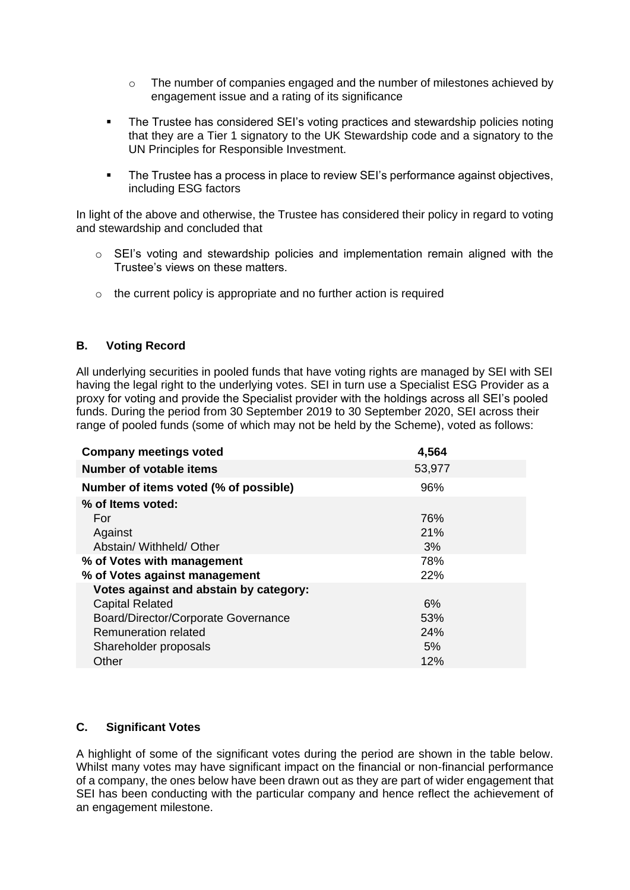- $\circ$  The number of companies engaged and the number of milestones achieved by engagement issue and a rating of its significance
- The Trustee has considered SEI's voting practices and stewardship policies noting that they are a Tier 1 signatory to the UK Stewardship code and a signatory to the UN Principles for Responsible Investment.
- The Trustee has a process in place to review SEI's performance against objectives, including ESG factors

In light of the above and otherwise, the Trustee has considered their policy in regard to voting and stewardship and concluded that

- $\circ$  SEI's voting and stewardship policies and implementation remain aligned with the Trustee's views on these matters.
- $\circ$  the current policy is appropriate and no further action is required

### **B. Voting Record**

All underlying securities in pooled funds that have voting rights are managed by SEI with SEI having the legal right to the underlying votes. SEI in turn use a Specialist ESG Provider as a proxy for voting and provide the Specialist provider with the holdings across all SEI's pooled funds. During the period from 30 September 2019 to 30 September 2020, SEI across their range of pooled funds (some of which may not be held by the Scheme), voted as follows:

| <b>Company meetings voted</b>          | 4,564  |
|----------------------------------------|--------|
| Number of votable items                | 53,977 |
| Number of items voted (% of possible)  | 96%    |
| % of Items voted:                      |        |
| For                                    | 76%    |
| Against                                | 21%    |
| Abstain/ Withheld/ Other               | 3%     |
| % of Votes with management             | 78%    |
| % of Votes against management          | 22%    |
| Votes against and abstain by category: |        |
| <b>Capital Related</b>                 | 6%     |
| Board/Director/Corporate Governance    | 53%    |
| Remuneration related                   | 24%    |
| Shareholder proposals                  | 5%     |
| Other                                  | 12%    |

### **C. Significant Votes**

A highlight of some of the significant votes during the period are shown in the table below. Whilst many votes may have significant impact on the financial or non-financial performance of a company, the ones below have been drawn out as they are part of wider engagement that SEI has been conducting with the particular company and hence reflect the achievement of an engagement milestone.